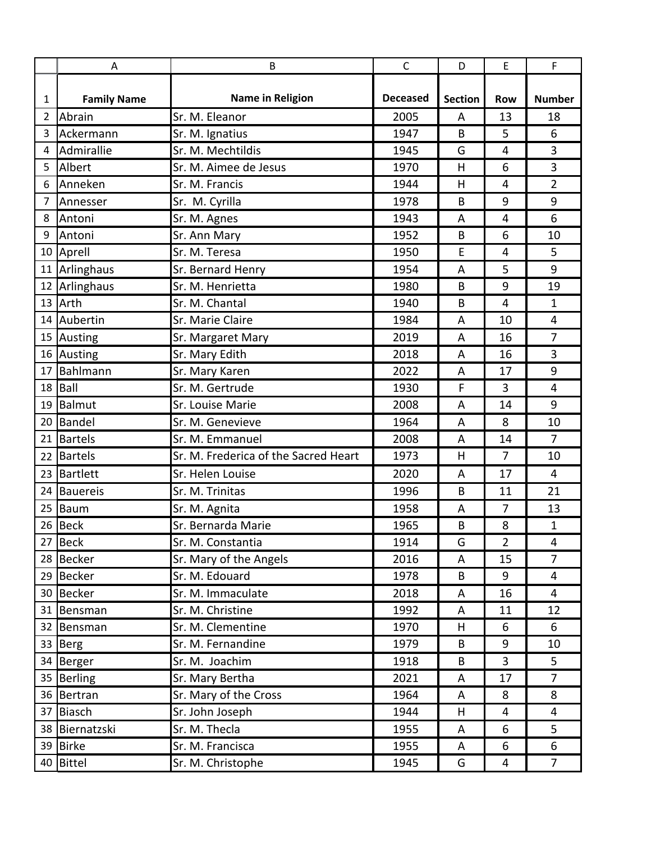|    | Α                  | B                                    | $\mathsf{C}$    | D              | E              | F              |
|----|--------------------|--------------------------------------|-----------------|----------------|----------------|----------------|
| 1  | <b>Family Name</b> | <b>Name in Religion</b>              | <b>Deceased</b> | <b>Section</b> | <b>Row</b>     | <b>Number</b>  |
| 2  | Abrain             | Sr. M. Eleanor                       | 2005            | Α              | 13             | 18             |
| 3  | Ackermann          | Sr. M. Ignatius                      | 1947            | B              | 5              | 6              |
| 4  | Admirallie         | Sr. M. Mechtildis                    | 1945            | G              | $\overline{4}$ | 3              |
| 5  | Albert             | Sr. M. Aimee de Jesus                | 1970            | Η              | 6              | 3              |
| 6  | Anneken            | Sr. M. Francis                       | 1944            | Η              | $\overline{4}$ | $\overline{2}$ |
| 7  | Annesser           | Sr. M. Cyrilla                       | 1978            | B              | 9              | 9              |
| 8  | Antoni             | Sr. M. Agnes                         | 1943            | A              | 4              | 6              |
| 9  | Antoni             | Sr. Ann Mary                         | 1952            | B              | 6              | 10             |
|    | 10 Aprell          | Sr. M. Teresa                        | 1950            | E              | 4              | 5              |
|    | 11 Arlinghaus      | Sr. Bernard Henry                    | 1954            | A              | 5              | 9              |
|    | 12 Arlinghaus      | Sr. M. Henrietta                     | 1980            | B              | 9              | 19             |
|    | 13 Arth            | Sr. M. Chantal                       | 1940            | B              | 4              | $\mathbf{1}$   |
|    | 14 Aubertin        | Sr. Marie Claire                     | 1984            | Α              | 10             | 4              |
|    | 15 Austing         | Sr. Margaret Mary                    | 2019            | A              | 16             | $\overline{7}$ |
|    | 16 Austing         | Sr. Mary Edith                       | 2018            | A              | 16             | 3              |
| 17 | Bahlmann           | Sr. Mary Karen                       | 2022            | A              | 17             | 9              |
| 18 | <b>Ball</b>        | Sr. M. Gertrude                      | 1930            | F              | 3              | $\overline{4}$ |
|    | 19 Balmut          | Sr. Louise Marie                     | 2008            | A              | 14             | 9              |
| 20 | Bandel             | Sr. M. Genevieve                     | 1964            | Α              | 8              | 10             |
| 21 | Bartels            | Sr. M. Emmanuel                      | 2008            | A              | 14             | $\overline{7}$ |
| 22 | <b>Bartels</b>     | Sr. M. Frederica of the Sacred Heart | 1973            | н              | $\overline{7}$ | 10             |
|    | 23 Bartlett        | Sr. Helen Louise                     | 2020            | A              | 17             | 4              |
| 24 | <b>Bauereis</b>    | Sr. M. Trinitas                      | 1996            | B              | 11             | 21             |
| 25 | Baum               | Sr. M. Agnita                        | 1958            | Α              | $\overline{7}$ | 13             |
|    | 26 Beck            | Sr. Bernarda Marie                   | 1965            | B              | 8              | $\mathbf{1}$   |
|    | 27 Beck            | Sr. M. Constantia                    | 1914            | G              | $\overline{2}$ | 4              |
|    | 28 Becker          | Sr. Mary of the Angels               | 2016            | Α              | 15             | $\overline{7}$ |
|    | 29 Becker          | Sr. M. Edouard                       | 1978            | B              | 9              | 4              |
|    | 30 Becker          | Sr. M. Immaculate                    | 2018            | A              | 16             | 4              |
|    | 31 Bensman         | Sr. M. Christine                     | 1992            | A              | 11             | 12             |
|    | 32 Bensman         | Sr. M. Clementine                    | 1970            | H              | 6              | 6              |
|    | 33 Berg            | Sr. M. Fernandine                    | 1979            | B              | 9              | 10             |
|    | 34 Berger          | Sr. M. Joachim                       | 1918            | B              | 3              | 5              |
|    | 35 Berling         | Sr. Mary Bertha                      | 2021            | Α              | 17             | $\overline{7}$ |
|    | 36 Bertran         | Sr. Mary of the Cross                | 1964            | A              | 8              | 8              |
|    | 37 Biasch          | Sr. John Joseph                      | 1944            | H              | 4              | $\overline{4}$ |
|    | 38 Biernatzski     | Sr. M. Thecla                        | 1955            | A              | 6              | 5              |
|    | 39 Birke           | Sr. M. Francisca                     | 1955            | A              | 6              | 6              |
|    | 40 Bittel          | Sr. M. Christophe                    | 1945            | G              | 4              | $\overline{7}$ |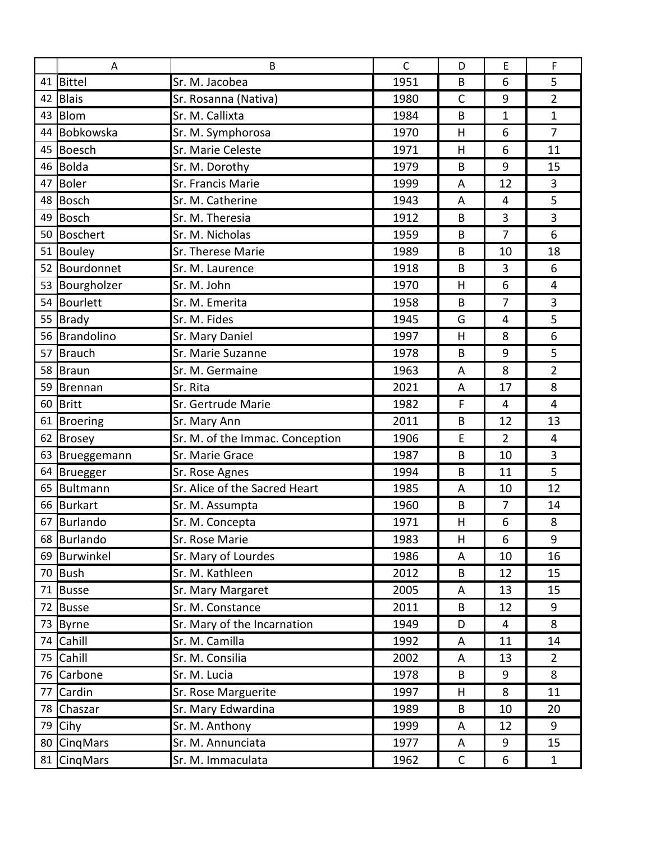|    | Α               | B                               | $\mathsf{C}$ | D              | E              | F              |
|----|-----------------|---------------------------------|--------------|----------------|----------------|----------------|
| 41 | <b>Bittel</b>   | Sr. M. Jacobea                  | 1951         | B              | 6              | 5              |
| 42 | <b>Blais</b>    | Sr. Rosanna (Nativa)            | 1980         | $\mathsf{C}$   | 9              | $\overline{2}$ |
| 43 | Blom            | Sr. M. Callixta                 | 1984         | B              | 1              | $\mathbf{1}$   |
| 44 | Bobkowska       | Sr. M. Symphorosa               | 1970         | H              | 6              | $\overline{7}$ |
| 45 | <b>Boesch</b>   | Sr. Marie Celeste               | 1971         | H              | 6              | 11             |
| 46 | Bolda           | Sr. M. Dorothy                  | 1979         | B              | 9              | 15             |
| 47 | <b>Boler</b>    | Sr. Francis Marie               | 1999         | A              | 12             | 3              |
| 48 | <b>Bosch</b>    | Sr. M. Catherine                | 1943         | $\overline{A}$ | $\overline{4}$ | 5              |
| 49 | Bosch           | Sr. M. Theresia                 | 1912         | B              | 3              | 3              |
| 50 | Boschert        | Sr. M. Nicholas                 | 1959         | B              | $\overline{7}$ | 6              |
| 51 | Bouley          | Sr. Therese Marie               | 1989         | B              | 10             | 18             |
|    | 52 Bourdonnet   | Sr. M. Laurence                 | 1918         | B              | 3              | 6              |
| 53 | Bourgholzer     | Sr. M. John                     | 1970         | H              | 6              | 4              |
| 54 | Bourlett        | Sr. M. Emerita                  | 1958         | B              | 7              | 3              |
|    | 55 Brady        | Sr. M. Fides                    | 1945         | G              | 4              | 5              |
| 56 | Brandolino      | Sr. Mary Daniel                 | 1997         | H              | 8              | 6              |
| 57 | <b>Brauch</b>   | Sr. Marie Suzanne               | 1978         | B              | 9              | 5              |
| 58 | Braun           | Sr. M. Germaine                 | 1963         | A              | 8              | $\overline{2}$ |
| 59 | <b>Brennan</b>  | Sr. Rita                        | 2021         | A              | 17             | 8              |
| 60 | <b>Britt</b>    | Sr. Gertrude Marie              | 1982         | F              | 4              | 4              |
| 61 | Broering        | Sr. Mary Ann                    | 2011         | B              | 12             | 13             |
| 62 | <b>Brosey</b>   | Sr. M. of the Immac. Conception | 1906         | E              | $\overline{2}$ | $\overline{4}$ |
| 63 | Brueggemann     | Sr. Marie Grace                 | 1987         | B              | 10             | 3              |
| 64 | <b>Bruegger</b> | Sr. Rose Agnes                  | 1994         | B              | 11             | 5              |
| 65 | Bultmann        | Sr. Alice of the Sacred Heart   | 1985         | A              | 10             | 12             |
| 66 | Burkart         | Sr. M. Assumpta                 | 1960         | B              | 7              | 14             |
| 67 | <b>Burlando</b> | Sr. M. Concepta                 | 1971         | H              | 6              | 8              |
|    | 68 Burlando     | Sr. Rose Marie                  | 1983         | H              | 6              | 9              |
|    | 69 Burwinkel    | Sr. Mary of Lourdes             | 1986         | A              | 10             | 16             |
|    | 70 Bush         | Sr. M. Kathleen                 | 2012         | B              | 12             | 15             |
| 71 | <b>Busse</b>    | Sr. Mary Margaret               | 2005         | A              | 13             | 15             |
|    | 72 Busse        | Sr. M. Constance                | 2011         | B              | 12             | 9              |
| 73 | Byrne           | Sr. Mary of the Incarnation     | 1949         | D              | 4              | 8              |
| 74 | Cahill          | Sr. M. Camilla                  | 1992         | A              | 11             | 14             |
| 75 | Cahill          | Sr. M. Consilia                 | 2002         | A              | 13             | $\overline{2}$ |
| 76 | Carbone         | Sr. M. Lucia                    | 1978         | B              | 9              | 8              |
| 77 | Cardin          | Sr. Rose Marguerite             | 1997         | H              | 8              | 11             |
|    | 78 Chaszar      | Sr. Mary Edwardina              | 1989         | B              | 10             | 20             |
| 79 | Cihy            | Sr. M. Anthony                  | 1999         | A              | 12             | 9              |
|    | 80 CingMars     | Sr. M. Annunciata               | 1977         | A              | 9              | 15             |
|    | 81 CinqMars     | Sr. M. Immaculata               | 1962         | $\mathsf{C}$   | 6              | $\mathbf{1}$   |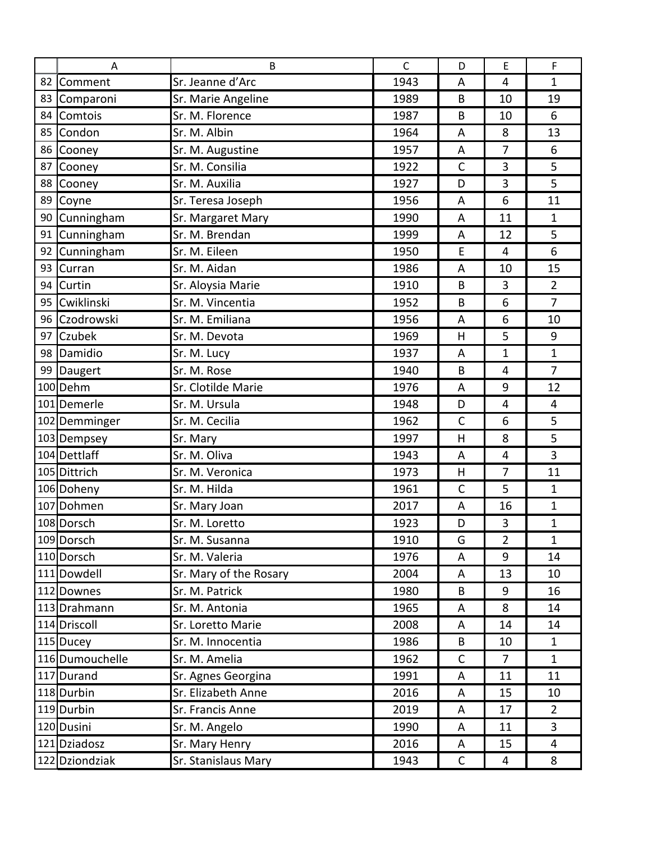|    | Α               | B                      | $\mathsf{C}$ | D            | E              | F              |  |
|----|-----------------|------------------------|--------------|--------------|----------------|----------------|--|
|    | 82 Comment      | Sr. Jeanne d'Arc       | 1943         | A            | 4              | 1              |  |
| 83 | Comparoni       | Sr. Marie Angeline     | 1989         | B            | 10             | 19             |  |
|    | 84 Comtois      | Sr. M. Florence        | 1987         | B            | 10             | 6              |  |
|    | 85 Condon       | Sr. M. Albin           | 1964         | A            | 8              | 13             |  |
| 86 | Cooney          | Sr. M. Augustine       | 1957         | A            | 7              | 6              |  |
| 87 | Cooney          | Sr. M. Consilia        | 1922         | $\mathsf{C}$ | 3              | 5              |  |
|    | 88 Cooney       | Sr. M. Auxilia         | 1927         | D            | 3              | 5              |  |
|    | 89 Coyne        | Sr. Teresa Joseph      | 1956         | A            | 6              | 11             |  |
|    | 90 Cunningham   | Sr. Margaret Mary      | 1990         | A            | 11             | $\mathbf{1}$   |  |
| 91 | Cunningham      | Sr. M. Brendan         | 1999         | A            | 12             | 5              |  |
| 92 | Cunningham      | Sr. M. Eileen          | 1950         | E            | $\overline{4}$ | 6              |  |
| 93 | Curran          | Sr. M. Aidan           | 1986         | A            | 10             | 15             |  |
| 94 | Curtin          | Sr. Aloysia Marie      | 1910         | B            | 3              | $\overline{2}$ |  |
| 95 | Cwiklinski      | Sr. M. Vincentia       | 1952         | B            | 6              | $\overline{7}$ |  |
|    | 96 Czodrowski   | Sr. M. Emiliana        | 1956         | A            | 6              | 10             |  |
| 97 | Czubek          | Sr. M. Devota          | 1969         | H            | 5              | 9              |  |
|    | 98 Damidio      | Sr. M. Lucy            | 1937         | A            | 1              | $\mathbf{1}$   |  |
|    | 99 Daugert      | Sr. M. Rose            | 1940         | B            | $\overline{4}$ | $\overline{7}$ |  |
|    | 100 Dehm        | Sr. Clotilde Marie     | 1976         | A            | 9              | 12             |  |
|    | 101 Demerle     | Sr. M. Ursula          | 1948         | D            | $\overline{4}$ | 4              |  |
|    | 102 Demminger   | Sr. M. Cecilia         | 1962         | $\mathsf C$  | 6              | 5              |  |
|    | 103 Dempsey     | Sr. Mary               | 1997         | H            | 8              | 5              |  |
|    | 104 Dettlaff    | Sr. M. Oliva           | 1943         | A            | $\overline{4}$ | 3              |  |
|    | 105 Dittrich    | Sr. M. Veronica        | 1973         | H            | 7              | 11             |  |
|    | 106 Doheny      | Sr. M. Hilda           | 1961         | $\mathsf C$  | 5              | $\mathbf{1}$   |  |
|    | 107 Dohmen      | Sr. Mary Joan          | 2017         | A            | 16             | $\mathbf{1}$   |  |
|    | 108 Dorsch      | Sr. M. Loretto         | 1923         | D            | 3              | $\overline{1}$ |  |
|    | 109 Dorsch      | Sr. M. Susanna         | 1910         | G            | $\overline{2}$ | $\mathbf{1}$   |  |
|    | 110 Dorsch      | Sr. M. Valeria         | 1976         | A            | 9              | 14             |  |
|    | 111 Dowdell     | Sr. Mary of the Rosary | 2004         | A            | 13             | 10             |  |
|    | 112 Downes      | Sr. M. Patrick         | 1980         | B            | 9              | 16             |  |
|    | 113 Drahmann    | Sr. M. Antonia         | 1965         | A            | 8              | 14             |  |
|    | 114 Driscoll    | Sr. Loretto Marie      | 2008         | A            | 14             | 14             |  |
|    | 115 Ducey       | Sr. M. Innocentia      | 1986         | B            | 10             | $\mathbf{1}$   |  |
|    | 116 Dumouchelle | Sr. M. Amelia          | 1962         | $\mathsf{C}$ | $\overline{7}$ | $\mathbf{1}$   |  |
|    | 117 Durand      | Sr. Agnes Georgina     | 1991         | A            | 11             | 11             |  |
|    | 118 Durbin      | Sr. Elizabeth Anne     | 2016         | A            | 15             | 10             |  |
|    | 119 Durbin      | Sr. Francis Anne       | 2019         | A            | 17             | $\overline{2}$ |  |
|    | 120 Dusini      | Sr. M. Angelo          | 1990         | A            | 11             | 3              |  |
|    | 121 Dziadosz    | Sr. Mary Henry         | 2016         | A            | 15             | 4              |  |
|    | 122 Dziondziak  | Sr. Stanislaus Mary    | 1943         | $\mathsf{C}$ | 4              | 8              |  |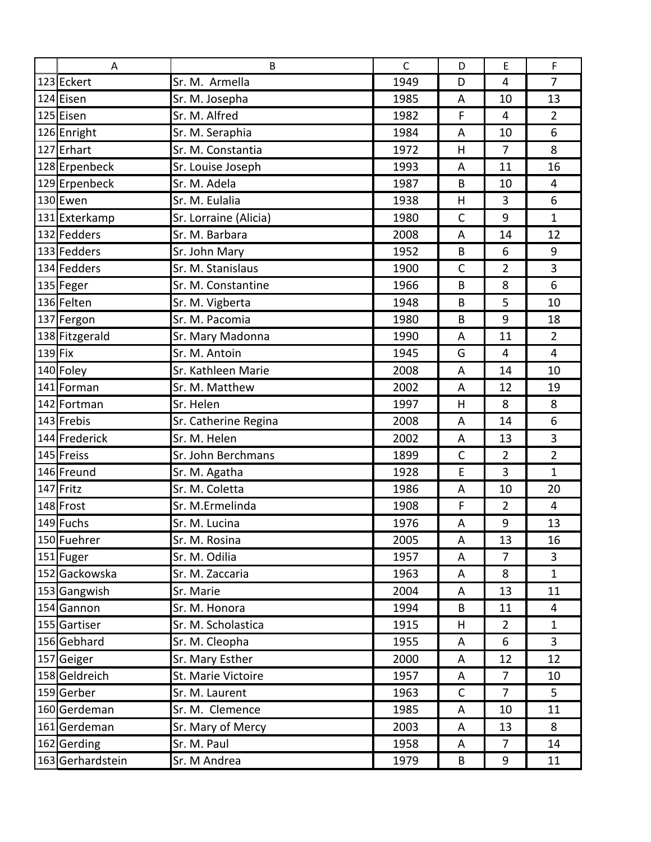| A                | B                     | $\mathsf{C}$ | D            | E              | $\mathsf F$    |  |
|------------------|-----------------------|--------------|--------------|----------------|----------------|--|
| 123 Eckert       | Sr. M. Armella        | 1949         | D            | 4              | $\overline{7}$ |  |
| 124 Eisen        | Sr. M. Josepha        | 1985         | A            | 10             | 13             |  |
| 125 Eisen        | Sr. M. Alfred         | 1982         | F            | $\overline{4}$ | $\overline{2}$ |  |
| 126 Enright      | Sr. M. Seraphia       | 1984         | A            | 10             | 6              |  |
| 127 Erhart       | Sr. M. Constantia     | 1972         | H            | $\overline{7}$ | 8              |  |
| 128 Erpenbeck    | Sr. Louise Joseph     | 1993         | A            | 11             | 16             |  |
| 129 Erpenbeck    | Sr. M. Adela          | 1987         | B            | 10             | 4              |  |
| 130 Ewen         | Sr. M. Eulalia        | 1938         | H            | 3              | 6              |  |
| 131 Exterkamp    | Sr. Lorraine (Alicia) | 1980         | $\mathsf{C}$ | 9              | $\mathbf{1}$   |  |
| 132 Fedders      | Sr. M. Barbara        | 2008         | A            | 14             | 12             |  |
| 133 Fedders      | Sr. John Mary         | 1952         | B            | 6              | 9              |  |
| 134 Fedders      | Sr. M. Stanislaus     | 1900         | $\mathsf{C}$ | $\overline{2}$ | $\overline{3}$ |  |
| 135 Feger        | Sr. M. Constantine    | 1966         | B            | 8              | 6              |  |
| 136 Felten       | Sr. M. Vigberta       | 1948         | B            | 5              | 10             |  |
| 137 Fergon       | Sr. M. Pacomia        | 1980         | B            | 9              | 18             |  |
| 138 Fitzgerald   | Sr. Mary Madonna      | 1990         | A            | 11             | $\overline{2}$ |  |
| $139$ Fix        | Sr. M. Antoin         | 1945         | G            | $\overline{4}$ | $\overline{4}$ |  |
| 140 Foley        | Sr. Kathleen Marie    | 2008         | A            | 14             | 10             |  |
| 141 Forman       | Sr. M. Matthew        | 2002         | A            | 12             | 19             |  |
| 142 Fortman      | Sr. Helen             | 1997         | H            | 8              | 8              |  |
| 143 Frebis       | Sr. Catherine Regina  | 2008         | A            | 14             | 6              |  |
| 144 Frederick    | Sr. M. Helen          | 2002         | A            | 13             | 3              |  |
| 145 Freiss       | Sr. John Berchmans    | 1899         | $\mathsf{C}$ | $\overline{2}$ | $\overline{2}$ |  |
| 146 Freund       | Sr. M. Agatha         | 1928         | E            | 3              | $\mathbf{1}$   |  |
| 147 Fritz        | Sr. M. Coletta        | 1986         | A            | 10             | 20             |  |
| 148 Frost        | Sr. M.Ermelinda       | 1908         | F            | $\overline{2}$ | $\overline{4}$ |  |
| 149 Fuchs        | Sr. M. Lucina         | 1976         | A            | 9              | 13             |  |
| 150 Fuehrer      | Sr. M. Rosina         | 2005         | A            | 13             | 16             |  |
| 151 Fuger        | Sr. M. Odilia         | 1957         | A            | $\overline{7}$ | $\overline{3}$ |  |
| 152 Gackowska    | Sr. M. Zaccaria       | 1963         | A            | 8              | $\mathbf{1}$   |  |
| 153 Gangwish     | Sr. Marie             | 2004         | A            | 13             | 11             |  |
| 154 Gannon       | Sr. M. Honora         | 1994         | B            | 11             | 4              |  |
| 155 Gartiser     | Sr. M. Scholastica    | 1915         | H            | $\overline{2}$ | $\mathbf{1}$   |  |
| 156 Gebhard      | Sr. M. Cleopha        | 1955         | A            | 6              | $\mathbf{3}$   |  |
| 157 Geiger       | Sr. Mary Esther       | 2000         | A            | 12             | 12             |  |
| 158 Geldreich    | St. Marie Victoire    | 1957         | A            | 7              | 10             |  |
| 159 Gerber       | Sr. M. Laurent        | 1963         | $\mathsf{C}$ | $\overline{7}$ | 5              |  |
| 160 Gerdeman     | Sr. M. Clemence       | 1985         | A            | 10             | 11             |  |
| 161 Gerdeman     | Sr. Mary of Mercy     | 2003         | A            | 13             | 8              |  |
| 162 Gerding      | Sr. M. Paul           | 1958         | A            | $\overline{7}$ | 14             |  |
| 163 Gerhardstein | Sr. M Andrea          | 1979         | B            | 9              | 11             |  |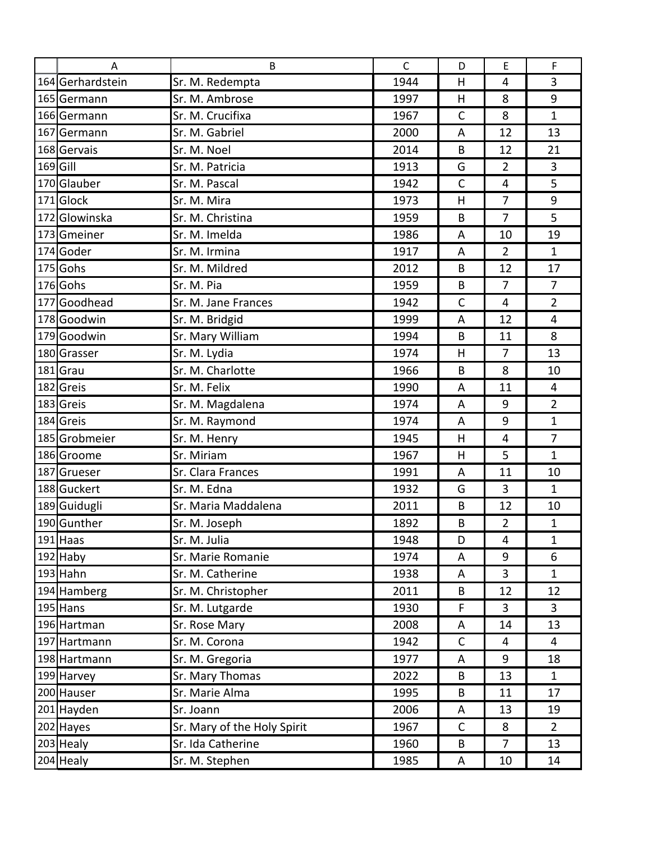|            | A                | B.                          | $\mathsf{C}$ | D            | E              | $\mathsf F$    |
|------------|------------------|-----------------------------|--------------|--------------|----------------|----------------|
|            | 164 Gerhardstein | Sr. M. Redempta             | 1944         | H            | $\overline{4}$ | $\overline{3}$ |
|            | 165 Germann      | Sr. M. Ambrose              | 1997         | H            | 8              | 9              |
|            | 166 Germann      | Sr. M. Crucifixa            | 1967         | $\mathsf{C}$ | 8              | 1              |
|            | 167 Germann      | Sr. M. Gabriel              | 2000         | A            | 12             | 13             |
|            | 168 Gervais      | Sr. M. Noel                 | 2014         | B            | 12             | 21             |
| $169$ Gill |                  | Sr. M. Patricia             | 1913         | G            | $\overline{2}$ | 3              |
|            | 170Glauber       | Sr. M. Pascal               | 1942         | $\mathsf{C}$ | $\overline{4}$ | 5              |
|            | 171 Glock        | Sr. M. Mira                 | 1973         | H            | $\overline{7}$ | 9              |
|            | 172 Glowinska    | Sr. M. Christina            | 1959         | B            | $\overline{7}$ | 5              |
|            | 173 Gmeiner      | Sr. M. Imelda               | 1986         | A            | 10             | 19             |
|            | 174 Goder        | Sr. M. Irmina               | 1917         | A            | $\overline{2}$ | $\mathbf{1}$   |
|            | 175 Gohs         | Sr. M. Mildred              | 2012         | B            | 12             | 17             |
|            | 176 Gohs         | Sr. M. Pia                  | 1959         | B            | $\overline{7}$ | $\overline{7}$ |
|            | 177 Goodhead     | Sr. M. Jane Frances         | 1942         | $\mathsf{C}$ | $\overline{4}$ | $\overline{2}$ |
|            | 178 Goodwin      | Sr. M. Bridgid              | 1999         | A            | 12             | $\overline{4}$ |
|            | 179 Goodwin      | Sr. Mary William            | 1994         | B            | 11             | 8              |
|            | 180 Grasser      | Sr. M. Lydia                | 1974         | H            | $\overline{7}$ | 13             |
|            | 181Grau          | Sr. M. Charlotte            | 1966         | B            | 8              | 10             |
|            | 182 Greis        | Sr. M. Felix                | 1990         | A            | 11             | 4              |
|            | 183 Greis        | Sr. M. Magdalena            | 1974         | A            | 9              | $\overline{2}$ |
|            | 184 Greis        | Sr. M. Raymond              | 1974         | A            | 9              | $\mathbf 1$    |
|            | 185 Grobmeier    | Sr. M. Henry                | 1945         | H            | $\overline{4}$ | $\overline{7}$ |
|            | 186 Groome       | Sr. Miriam                  | 1967         | H            | 5              | $\mathbf{1}$   |
|            | 187 Grueser      | Sr. Clara Frances           | 1991         | A            | 11             | 10             |
|            | 188 Guckert      | Sr. M. Edna                 | 1932         | G            | 3              | $\mathbf{1}$   |
|            | 189 Guidugli     | Sr. Maria Maddalena         | 2011         | B            | 12             | 10             |
|            | 190 Gunther      | Sr. M. Joseph               | 1892         | B            | $\overline{2}$ | 1              |
|            | 191 Haas         | Sr. M. Julia                | 1948         | D            | $\overline{4}$ | $\mathbf{1}$   |
|            | $192$ Haby       | Sr. Marie Romanie           | 1974         | A            | 9              | 6              |
|            | $193$ Hahn       | Sr. M. Catherine            | 1938         | A            | 3              | $\mathbf{1}$   |
|            | 194 Hamberg      | Sr. M. Christopher          | 2011         | B            | 12             | 12             |
|            | $195$ Hans       | Sr. M. Lutgarde             | 1930         | F            | 3              | $\mathbf{3}$   |
|            | 196 Hartman      | Sr. Rose Mary               | 2008         | A            | 14             | 13             |
|            | 197 Hartmann     | Sr. M. Corona               | 1942         | $\mathsf{C}$ | 4              | 4              |
|            | 198 Hartmann     | Sr. M. Gregoria             | 1977         | A            | 9              | 18             |
|            | 199 Harvey       | Sr. Mary Thomas             | 2022         | B            | 13             | $\mathbf{1}$   |
|            | 200 Hauser       | Sr. Marie Alma              | 1995         | B            | 11             | 17             |
|            | 201 Hayden       | Sr. Joann                   | 2006         | A            | 13             | 19             |
|            | 202 Hayes        | Sr. Mary of the Holy Spirit | 1967         | $\mathsf C$  | 8              | $\overline{2}$ |
|            | 203 Healy        | Sr. Ida Catherine           | 1960         | B            | $\overline{7}$ | 13             |
|            | $204$ Healy      | Sr. M. Stephen              | 1985         | A            | 10             | 14             |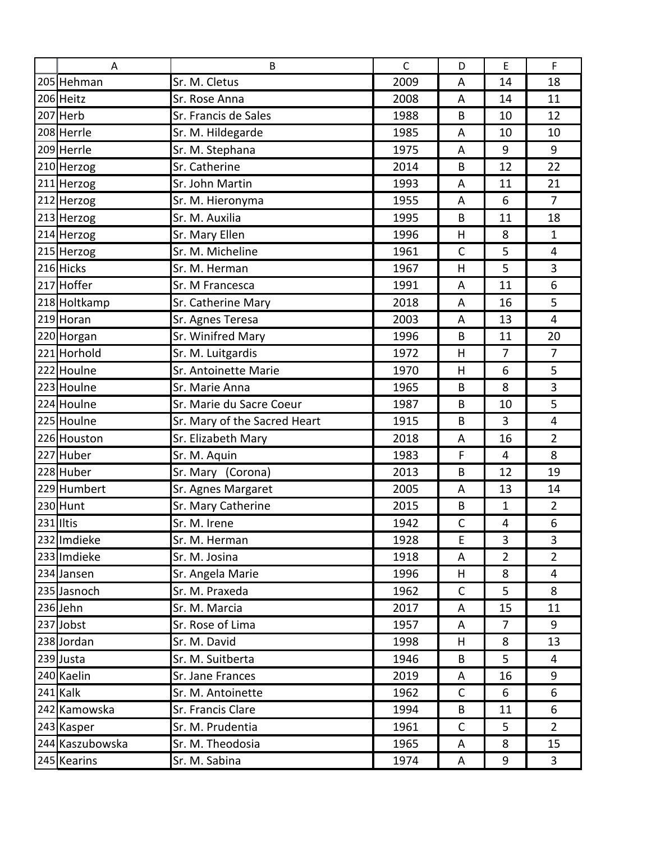| Α               | B                            | $\mathsf{C}$ | D              | $\mathsf E$    | $\mathsf{F}$   |  |
|-----------------|------------------------------|--------------|----------------|----------------|----------------|--|
| 205 Hehman      | Sr. M. Cletus                | 2009         | A              | 14             | 18             |  |
| 206 Heitz       | Sr. Rose Anna                | 2008         | A              | 14             | 11             |  |
| 207 Herb        | Sr. Francis de Sales         | 1988         | B              | 10             | 12             |  |
| 208 Herrle      | Sr. M. Hildegarde            | 1985         | A              | 10             | 10             |  |
| 209 Herrle      | Sr. M. Stephana              | 1975         | A              | 9              | 9              |  |
| 210 Herzog      | Sr. Catherine                | 2014         | B              | 12             | 22             |  |
| 211 Herzog      | Sr. John Martin              | 1993         | A              | 11             | 21             |  |
| 212 Herzog      | Sr. M. Hieronyma             | 1955         | A              | 6              | $\overline{7}$ |  |
| 213 Herzog      | Sr. M. Auxilia               | 1995         | B              | 11             | 18             |  |
| 214 Herzog      | Sr. Mary Ellen               | 1996         | H              | 8              | $\mathbf{1}$   |  |
| 215 Herzog      | Sr. M. Micheline             | 1961         | $\mathsf{C}$   | 5              | $\overline{4}$ |  |
| 216 Hicks       | Sr. M. Herman                | 1967         | H              | 5              | 3              |  |
| 217 Hoffer      | Sr. M Francesca              | 1991         | A              | 11             | 6              |  |
| 218 Holtkamp    | Sr. Catherine Mary           | 2018         | A              | 16             | 5              |  |
| 219 Horan       | Sr. Agnes Teresa             | 2003         | A              | 13             | $\overline{4}$ |  |
| 220 Horgan      | Sr. Winifred Mary            | 1996         | B              | 11             | 20             |  |
| 221 Horhold     | Sr. M. Luitgardis            | 1972         | H              | 7              | $\overline{7}$ |  |
| 222 Houlne      | Sr. Antoinette Marie         | 1970         | H              | 6              | 5              |  |
| 223 Houlne      | Sr. Marie Anna               | 1965         | B              | 8              | 3              |  |
| 224 Houlne      | Sr. Marie du Sacre Coeur     | 1987         | B              | 10             | 5              |  |
| 225 Houlne      | Sr. Mary of the Sacred Heart | 1915         | B              | 3              | $\overline{4}$ |  |
| 226 Houston     | Sr. Elizabeth Mary           | 2018         | A              | 16             | $\overline{2}$ |  |
| 227 Huber       | Sr. M. Aquin                 | 1983         | F              | 4              | 8              |  |
| 228 Huber       | Sr. Mary (Corona)            | 2013         | B              | 12             | 19             |  |
| 229 Humbert     | Sr. Agnes Margaret           | 2005         | A              | 13             | 14             |  |
| $230$ Hunt      | Sr. Mary Catherine           | 2015         | B              | $\mathbf 1$    | $\overline{2}$ |  |
| 231 Iltis       | Sr. M. Irene                 | 1942         | $\overline{C}$ | 4              | 6              |  |
| 232 Imdieke     | Sr. M. Herman                | 1928         | E              | 3              | 3              |  |
| 233 Imdieke     | Sr. M. Josina                | 1918         | A              | $\overline{2}$ | $\overline{2}$ |  |
| 234 Jansen      | Sr. Angela Marie             | 1996         | H              | 8              | 4              |  |
| 235 Jasnoch     | Sr. M. Praxeda               | 1962         | C              | 5              | 8              |  |
| $236$ Jehn      | Sr. M. Marcia                | 2017         | A              | 15             | 11             |  |
| 237Jobst        | Sr. Rose of Lima             | 1957         | A              | 7              | 9              |  |
| 238 Jordan      | Sr. M. David                 | 1998         | H              | 8              | 13             |  |
| 239 Justa       | Sr. M. Suitberta             | 1946         | B              | 5              | 4              |  |
| 240 Kaelin      | Sr. Jane Frances             | 2019         | A              | 16             | 9              |  |
| 241 Kalk        | Sr. M. Antoinette            | 1962         | $\mathsf{C}$   | 6              | 6              |  |
| 242 Kamowska    | Sr. Francis Clare            | 1994         | B              | 11             | 6              |  |
| 243 Kasper      | Sr. M. Prudentia             | 1961         | C              | 5              | $\overline{2}$ |  |
| 244 Kaszubowska | Sr. M. Theodosia             | 1965         | A              | 8              | 15             |  |
| 245 Kearins     | Sr. M. Sabina                | 1974         | A              | 9              | 3              |  |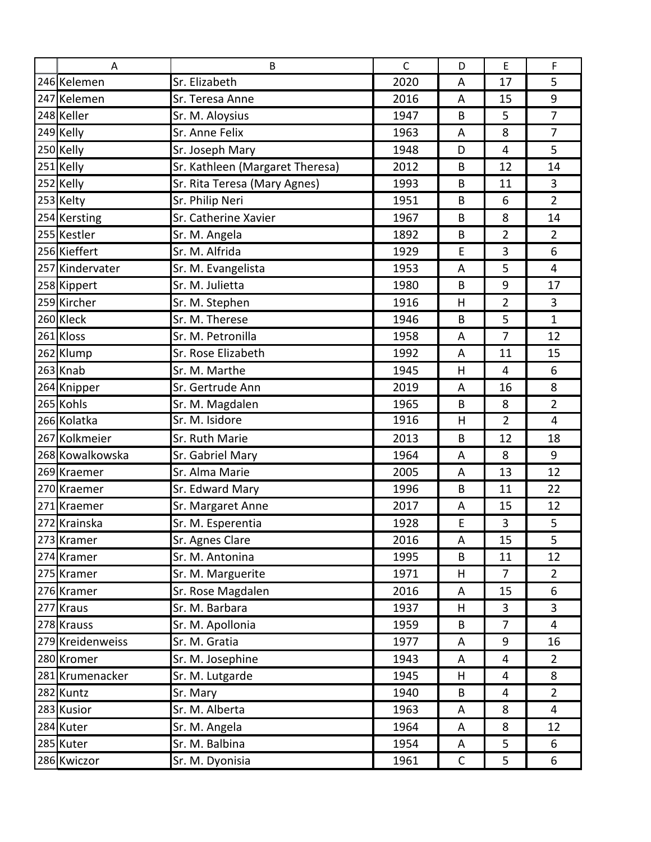| Α                | B                               | $\mathsf{C}$ | D           | E              | $\mathsf F$    |
|------------------|---------------------------------|--------------|-------------|----------------|----------------|
| 246 Kelemen      | Sr. Elizabeth                   | 2020         | A           | 17             | 5              |
| 247 Kelemen      | Sr. Teresa Anne                 | 2016         | A           | 15             | 9              |
| 248 Keller       | Sr. M. Aloysius                 | 1947         | B           | 5              | $\overline{7}$ |
| 249 Kelly        | Sr. Anne Felix                  | 1963         | A           | 8              | $\overline{7}$ |
| 250 Kelly        | Sr. Joseph Mary                 | 1948         | D           | $\overline{4}$ | 5              |
| 251 Kelly        | Sr. Kathleen (Margaret Theresa) | 2012         | B           | 12             | 14             |
| 252 Kelly        | Sr. Rita Teresa (Mary Agnes)    | 1993         | B           | 11             | 3              |
| 253 Kelty        | Sr. Philip Neri                 | 1951         | B           | 6              | $\overline{2}$ |
| 254 Kersting     | Sr. Catherine Xavier            | 1967         | B           | 8              | 14             |
| 255 Kestler      | Sr. M. Angela                   | 1892         | B           | $\overline{2}$ | $\overline{2}$ |
| 256 Kieffert     | Sr. M. Alfrida                  | 1929         | E           | 3              | 6              |
| 257 Kindervater  | Sr. M. Evangelista              | 1953         | A           | 5              | 4              |
| 258 Kippert      | Sr. M. Julietta                 | 1980         | B           | 9              | 17             |
| 259 Kircher      | Sr. M. Stephen                  | 1916         | H           | $\overline{2}$ | 3              |
| 260 Kleck        | Sr. M. Therese                  | 1946         | B           | 5              | $\mathbf{1}$   |
| 261 Kloss        | Sr. M. Petronilla               | 1958         | A           | $\overline{7}$ | 12             |
| 262 Klump        | Sr. Rose Elizabeth              | 1992         | A           | 11             | 15             |
| 263 Knab         | Sr. M. Marthe                   | 1945         | H           | $\overline{4}$ | 6              |
| 264 Knipper      | Sr. Gertrude Ann                | 2019         | A           | 16             | 8              |
| 265 Kohls        | Sr. M. Magdalen                 | 1965         | B           | 8              | $\overline{2}$ |
| 266 Kolatka      | Sr. M. Isidore                  | 1916         | H           | 2              | $\overline{4}$ |
| 267 Kolkmeier    | Sr. Ruth Marie                  | 2013         | B           | 12             | 18             |
| 268 Kowalkowska  | Sr. Gabriel Mary                | 1964         | A           | 8              | 9              |
| 269 Kraemer      | Sr. Alma Marie                  | 2005         | A           | 13             | 12             |
| 270 Kraemer      | Sr. Edward Mary                 | 1996         | B           | 11             | 22             |
| 271 Kraemer      | Sr. Margaret Anne               | 2017         | A           | 15             | 12             |
| 272 Krainska     | Sr. M. Esperentia               | 1928         | E           | 3              | 5              |
| 273 Kramer       | Sr. Agnes Clare                 | 2016         | A           | 15             | 5              |
| 274 Kramer       | Sr. M. Antonina                 | 1995         | $\sf B$     | 11             | 12             |
| 275 Kramer       | Sr. M. Marguerite               | 1971         | H           | 7              | $\overline{2}$ |
| 276 Kramer       | Sr. Rose Magdalen               | 2016         | A           | 15             | 6              |
| 277 Kraus        | Sr. M. Barbara                  | 1937         | H           | 3              | $\overline{3}$ |
| 278 Krauss       | Sr. M. Apollonia                | 1959         | B           | 7              | $\overline{4}$ |
| 279 Kreidenweiss | Sr. M. Gratia                   | 1977         | A           | 9              | 16             |
| 280 Kromer       | Sr. M. Josephine                | 1943         | A           | $\overline{4}$ | $\overline{2}$ |
| 281 Krumenacker  | Sr. M. Lutgarde                 | 1945         | H           | 4              | 8              |
| 282 Kuntz        | Sr. Mary                        | 1940         | B           | 4              | $\overline{2}$ |
| 283 Kusior       | Sr. M. Alberta                  | 1963         | A           | 8              | $\overline{4}$ |
| 284 Kuter        | Sr. M. Angela                   | 1964         | A           | 8              | 12             |
| 285 Kuter        | Sr. M. Balbina                  | 1954         | A           | 5              | 6              |
| 286 Kwiczor      | Sr. M. Dyonisia                 | 1961         | $\mathsf C$ | 5              | 6              |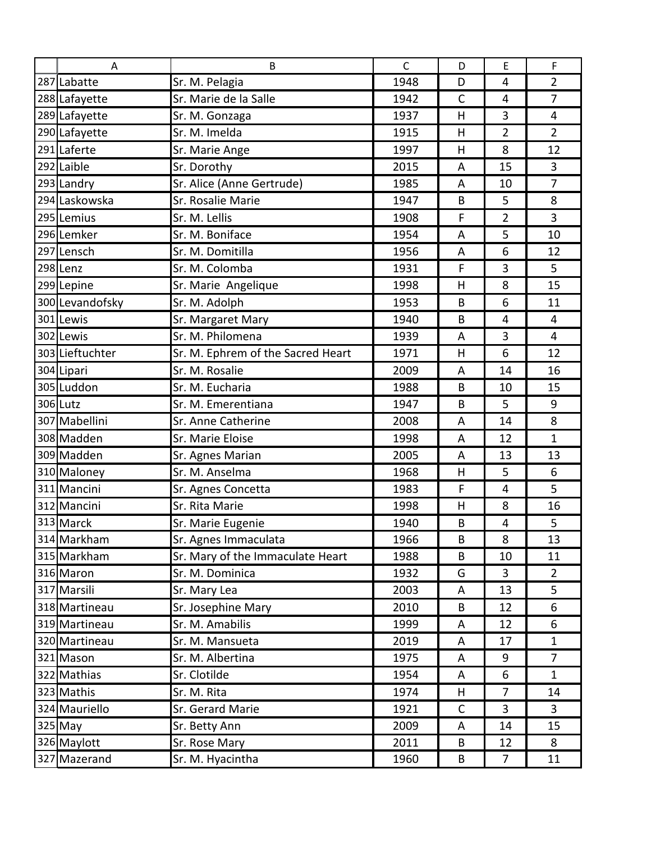| A               | B                                 | $\mathsf{C}$ | D            | E              | F              |
|-----------------|-----------------------------------|--------------|--------------|----------------|----------------|
| 287 Labatte     | Sr. M. Pelagia                    | 1948         | D            | $\overline{4}$ | $\overline{2}$ |
| 288 Lafayette   | Sr. Marie de la Salle             | 1942         | $\mathsf{C}$ | 4              | $\overline{7}$ |
| 289 Lafayette   | Sr. M. Gonzaga                    | 1937         | H            | 3              | 4              |
| 290 Lafayette   | Sr. M. Imelda                     | 1915         | H            | $\overline{2}$ | $\overline{2}$ |
| 291 Laferte     | Sr. Marie Ange                    | 1997         | H            | 8              | 12             |
| 292 Laible      | Sr. Dorothy                       | 2015         | A            | 15             | 3              |
| 293 Landry      | Sr. Alice (Anne Gertrude)         | 1985         | A            | 10             | $\overline{7}$ |
| 294 Laskowska   | Sr. Rosalie Marie                 | 1947         | B            | 5              | 8              |
| 295 Lemius      | Sr. M. Lellis                     | 1908         | F            | $\overline{2}$ | 3              |
| 296 Lemker      | Sr. M. Boniface                   | 1954         | A            | 5              | 10             |
| 297 Lensch      | Sr. M. Domitilla                  | 1956         | A            | 6              | 12             |
| 298 Lenz        | Sr. M. Colomba                    | 1931         | F            | 3              | 5              |
| 299 Lepine      | Sr. Marie Angelique               | 1998         | H            | 8              | 15             |
| 300 Levandofsky | Sr. M. Adolph                     | 1953         | B            | 6              | 11             |
| 301 Lewis       | Sr. Margaret Mary                 | 1940         | B            | $\overline{4}$ | 4              |
| 302 Lewis       | Sr. M. Philomena                  | 1939         | A            | 3              | $\overline{4}$ |
| 303 Lieftuchter | Sr. M. Ephrem of the Sacred Heart | 1971         | H            | 6              | 12             |
| 304 Lipari      | Sr. M. Rosalie                    | 2009         | A            | 14             | 16             |
| 305 Luddon      | Sr. M. Eucharia                   | 1988         | B            | 10             | 15             |
| 306 Lutz        | Sr. M. Emerentiana                | 1947         | B            | 5              | 9              |
| 307 Mabellini   | Sr. Anne Catherine                | 2008         | A            | 14             | 8              |
| 308 Madden      | Sr. Marie Eloise                  | 1998         | A            | 12             | $\mathbf{1}$   |
| 309 Madden      | Sr. Agnes Marian                  | 2005         | A            | 13             | 13             |
| 310 Maloney     | Sr. M. Anselma                    | 1968         | H            | 5              | 6              |
| 311 Mancini     | Sr. Agnes Concetta                | 1983         | F            | 4              | 5              |
| 312 Mancini     | Sr. Rita Marie                    | 1998         | H            | 8              | 16             |
| 313 Marck       | Sr. Marie Eugenie                 | 1940         | B            | 4              | 5              |
| 314 Markham     | Sr. Agnes Immaculata              | 1966         | B            | 8              | 13             |
| 315 Markham     | Sr. Mary of the Immaculate Heart  | 1988         | B            | 10             | 11             |
| 316 Maron       | Sr. M. Dominica                   | 1932         | G            | 3              | $\overline{2}$ |
| 317 Marsili     | Sr. Mary Lea                      | 2003         | A            | 13             | 5              |
| 318 Martineau   | Sr. Josephine Mary                | 2010         | B            | 12             | 6              |
| 319 Martineau   | Sr. M. Amabilis                   | 1999         | A            | 12             | 6              |
| 320 Martineau   | Sr. M. Mansueta                   | 2019         | A            | 17             | $\mathbf{1}$   |
| 321 Mason       | Sr. M. Albertina                  | 1975         | A            | 9              | 7              |
| 322 Mathias     | Sr. Clotilde                      | 1954         | A            | 6              | $\mathbf{1}$   |
| 323 Mathis      | Sr. M. Rita                       | 1974         | H            | $\overline{7}$ | 14             |
| 324 Mauriello   | Sr. Gerard Marie                  | 1921         | C            | 3              | 3              |
| $325$ May       | Sr. Betty Ann                     | 2009         | A            | 14             | 15             |
| 326 Maylott     | Sr. Rose Mary                     | 2011         | B            | 12             | 8              |
| 327 Mazerand    | Sr. M. Hyacintha                  | 1960         | B            | $\overline{7}$ | 11             |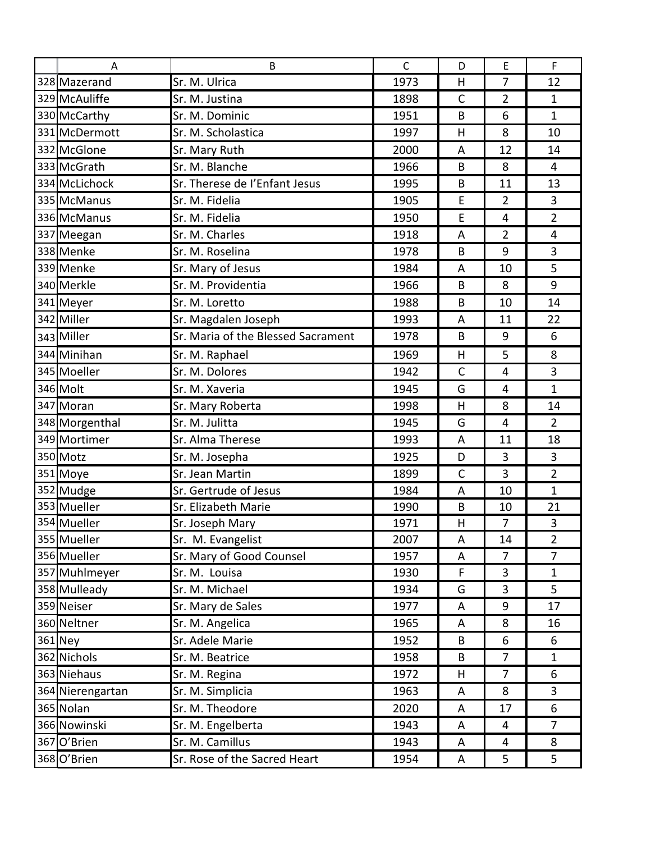| A                | B                                  | $\mathsf{C}$ | D            | E              | $\mathsf F$    |
|------------------|------------------------------------|--------------|--------------|----------------|----------------|
| 328 Mazerand     | Sr. M. Ulrica                      | 1973         | H            | 7              | 12             |
| 329 McAuliffe    | Sr. M. Justina                     | 1898         | $\mathsf{C}$ | $\overline{2}$ | $\mathbf{1}$   |
| 330 McCarthy     | Sr. M. Dominic                     | 1951         | B            | 6              | $\mathbf{1}$   |
| 331 McDermott    | Sr. M. Scholastica                 | 1997         | H            | 8              | 10             |
| 332 McGlone      | Sr. Mary Ruth                      | 2000         | A            | 12             | 14             |
| 333 McGrath      | Sr. M. Blanche                     | 1966         | B            | 8              | 4              |
| 334 McLichock    | Sr. Therese de l'Enfant Jesus      | 1995         | B            | 11             | 13             |
| 335 McManus      | Sr. M. Fidelia                     | 1905         | E            | $\overline{2}$ | 3              |
| 336 McManus      | Sr. M. Fidelia                     | 1950         | E            | $\overline{4}$ | $\overline{2}$ |
| 337 Meegan       | Sr. M. Charles                     | 1918         | A            | $\overline{2}$ | $\overline{4}$ |
| 338 Menke        | Sr. M. Roselina                    | 1978         | B            | 9              | 3              |
| 339 Menke        | Sr. Mary of Jesus                  | 1984         | A            | 10             | 5              |
| 340 Merkle       | Sr. M. Providentia                 | 1966         | B            | 8              | 9              |
| 341 Meyer        | Sr. M. Loretto                     | 1988         | B            | 10             | 14             |
| 342 Miller       | Sr. Magdalen Joseph                | 1993         | A            | 11             | 22             |
| 343 Miller       | Sr. Maria of the Blessed Sacrament | 1978         | B            | 9              | 6              |
| 344 Minihan      | Sr. M. Raphael                     | 1969         | H            | 5              | 8              |
| 345 Moeller      | Sr. M. Dolores                     | 1942         | $\mathsf{C}$ | $\overline{4}$ | 3              |
| 346 Molt         | Sr. M. Xaveria                     | 1945         | G            | 4              | $\mathbf{1}$   |
| 347 Moran        | Sr. Mary Roberta                   | 1998         | H            | 8              | 14             |
| 348 Morgenthal   | Sr. M. Julitta                     | 1945         | G            | 4              | $\overline{2}$ |
| 349 Mortimer     | Sr. Alma Therese                   | 1993         | A            | 11             | 18             |
| 350 Motz         | Sr. M. Josepha                     | 1925         | D            | 3              | 3              |
| 351 Moye         | Sr. Jean Martin                    | 1899         | $\mathsf{C}$ | 3              | $\overline{2}$ |
| 352 Mudge        | Sr. Gertrude of Jesus              | 1984         | A            | 10             | $\mathbf{1}$   |
| 353 Mueller      | Sr. Elizabeth Marie                | 1990         | B            | 10             | 21             |
| 354 Mueller      | Sr. Joseph Mary                    | 1971         | H            | $\overline{7}$ | 3              |
| 355 Mueller      | Sr. M. Evangelist                  | 2007         | A            | 14             | $\overline{2}$ |
| 356 Mueller      | Sr. Mary of Good Counsel           | 1957         | A            | 7              | $\overline{7}$ |
| 357 Muhlmeyer    | Sr. M. Louisa                      | 1930         | F            | 3              | $\mathbf{1}$   |
| 358 Mulleady     | Sr. M. Michael                     | 1934         | G            | 3              | 5              |
| 359 Neiser       | Sr. Mary de Sales                  | 1977         | A            | 9              | 17             |
| 360 Neltner      | Sr. M. Angelica                    | 1965         | A            | 8              | 16             |
| 361 Ney          | Sr. Adele Marie                    | 1952         | B            | 6              | 6              |
| 362 Nichols      | Sr. M. Beatrice                    | 1958         | B            | $\overline{7}$ | $\mathbf{1}$   |
| 363 Niehaus      | Sr. M. Regina                      | 1972         | н            | 7              | 6              |
| 364 Nierengartan | Sr. M. Simplicia                   | 1963         | A            | 8              | 3              |
| 365 Nolan        | Sr. M. Theodore                    | 2020         | A            | 17             | 6              |
| 366 Nowinski     | Sr. M. Engelberta                  | 1943         | A            | 4              | $\overline{7}$ |
| 367 O'Brien      | Sr. M. Camillus                    | 1943         | A            | 4              | 8              |
| 368 O'Brien      | Sr. Rose of the Sacred Heart       | 1954         | A            | 5              | 5              |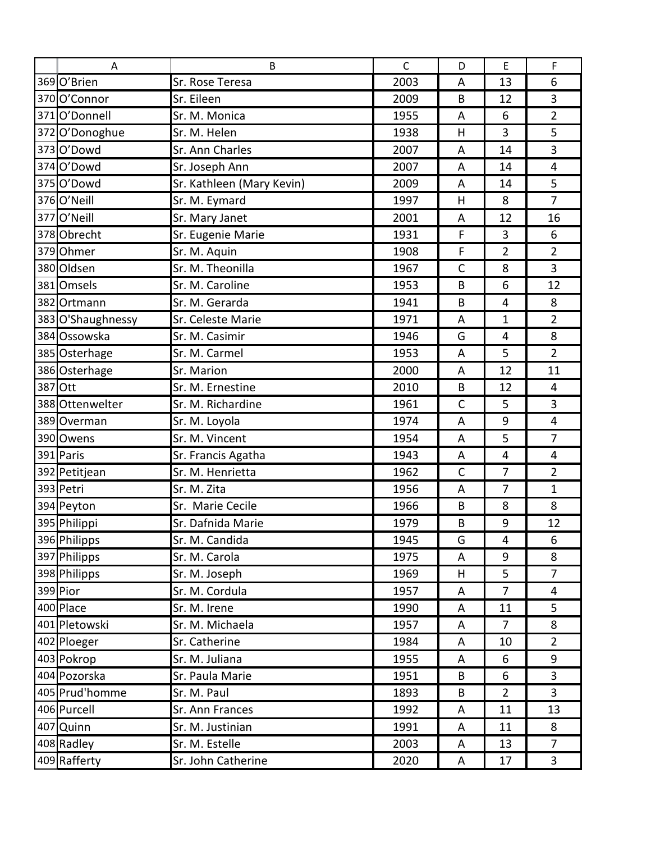|          | Α                 | B                         | $\mathsf{C}$ | D            | E              | F              |  |
|----------|-------------------|---------------------------|--------------|--------------|----------------|----------------|--|
|          | 369 O'Brien       | Sr. Rose Teresa           | 2003         | A            | 13             | 6              |  |
|          | 370 O'Connor      | Sr. Eileen                | 2009         | B            | 12             | 3              |  |
|          | 371 O'Donnell     | Sr. M. Monica             | 1955         | A            | 6              | $\overline{2}$ |  |
|          | 372 O'Donoghue    | Sr. M. Helen              | 1938         | H            | 3              | 5              |  |
|          | 373 O'Dowd        | Sr. Ann Charles           | 2007         | A            | 14             | 3              |  |
|          | 374 O'Dowd        | Sr. Joseph Ann            | 2007         | A            | 14             | $\overline{4}$ |  |
|          | 375O'Dowd         | Sr. Kathleen (Mary Kevin) | 2009         | A            | 14             | 5              |  |
|          | 376 O'Neill       | Sr. M. Eymard             | 1997         | H            | 8              | $\overline{7}$ |  |
|          | 377O'Neill        | Sr. Mary Janet            | 2001         | A            | 12             | 16             |  |
|          | 378 Obrecht       | Sr. Eugenie Marie         | 1931         | F            | 3              | 6              |  |
|          | 379 Ohmer         | Sr. M. Aquin              | 1908         | F            | 2              | $\overline{2}$ |  |
|          | 380 Oldsen        | Sr. M. Theonilla          | 1967         | $\mathsf{C}$ | 8              | 3              |  |
|          | 381 Omsels        | Sr. M. Caroline           | 1953         | B            | 6              | 12             |  |
|          | 382 Ortmann       | Sr. M. Gerarda            | 1941         | B            | $\overline{4}$ | 8              |  |
|          | 383 O'Shaughnessy | Sr. Celeste Marie         | 1971         | A            | 1              | $\overline{2}$ |  |
|          | 384 Ossowska      | Sr. M. Casimir            | 1946         | G            | $\overline{4}$ | 8              |  |
|          | 385 Osterhage     | Sr. M. Carmel             | 1953         | A            | 5              | $\overline{2}$ |  |
|          | 386 Osterhage     | Sr. Marion                | 2000         | A            | 12             | 11             |  |
| 387 Ott  |                   | Sr. M. Ernestine          | 2010         | B            | 12             | 4              |  |
|          | 388 Ottenwelter   | Sr. M. Richardine         | 1961         | $\mathsf{C}$ | 5              | 3              |  |
|          | 389 Overman       | Sr. M. Loyola             | 1974         | A            | 9              | 4              |  |
|          | 390 Owens         | Sr. M. Vincent            | 1954         | A            | 5              | $\overline{7}$ |  |
|          | 391 Paris         | Sr. Francis Agatha        | 1943         | A            | $\overline{4}$ | 4              |  |
|          | 392 Petitjean     | Sr. M. Henrietta          | 1962         | $\mathsf C$  | 7              | $\overline{2}$ |  |
|          | 393 Petri         | Sr. M. Zita               | 1956         | A            | 7              | $\mathbf{1}$   |  |
|          | 394 Peyton        | Sr. Marie Cecile          | 1966         | B            | 8              | 8              |  |
|          | 395 Philippi      | Sr. Dafnida Marie         | 1979         | B            | q              | 12             |  |
|          | 396 Philipps      | Sr. M. Candida            | 1945         | G            | $\overline{4}$ | 6              |  |
|          | 397 Philipps      | Sr. M. Carola             | 1975         | A            | 9              | 8              |  |
|          | 398 Philipps      | Sr. M. Joseph             | 1969         | H            | 5              | $\overline{7}$ |  |
| 399 Pior |                   | Sr. M. Cordula            | 1957         | A            | 7              | 4              |  |
|          | 400 Place         | Sr. M. Irene              | 1990         | A            | 11             | 5              |  |
|          | 401 Pletowski     | Sr. M. Michaela           | 1957         | A            | 7              | 8              |  |
|          | 402 Ploeger       | Sr. Catherine             | 1984         | A            | 10             | $2^{\circ}$    |  |
|          | 403 Pokrop        | Sr. M. Juliana            | 1955         | A            | 6              | 9              |  |
|          | 404 Pozorska      | Sr. Paula Marie           | 1951         | B            | 6              | 3              |  |
|          | 405 Prud'homme    | Sr. M. Paul               | 1893         | B            | $\overline{2}$ | $\mathbf{3}$   |  |
|          | 406 Purcell       | Sr. Ann Frances           | 1992         | A            | 11             | 13             |  |
|          | 407 Quinn         | Sr. M. Justinian          | 1991         | A            | 11             | 8              |  |
|          | 408 Radley        | Sr. M. Estelle            | 2003         | A            | 13             | $\overline{7}$ |  |
|          | 409 Rafferty      | Sr. John Catherine        | 2020         | A            | 17             | $\mathbf{3}$   |  |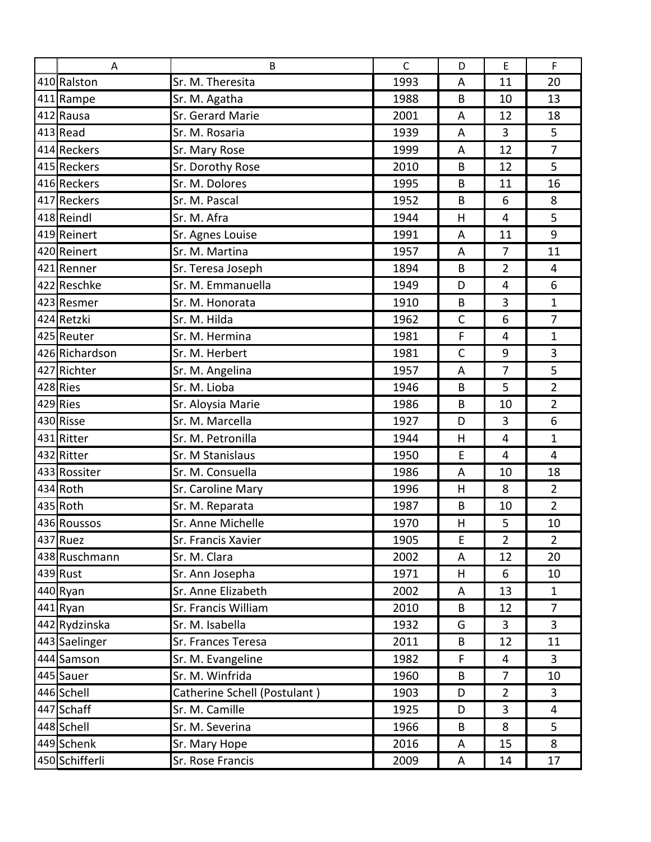| A              | B                            | $\mathsf{C}$ | D            | $\mathsf{E}% _{0}\left( \mathsf{E}\right)$ | $\mathsf{F}$   |
|----------------|------------------------------|--------------|--------------|--------------------------------------------|----------------|
| 410 Ralston    | Sr. M. Theresita             | 1993         | A            | 11                                         | 20             |
| 411 Rampe      | Sr. M. Agatha                | 1988         | B            | 10                                         | 13             |
| 412 Rausa      | Sr. Gerard Marie             | 2001         | A            | 12                                         | 18             |
| 413 Read       | Sr. M. Rosaria               | 1939         | A            | 3                                          | 5              |
| 414 Reckers    | Sr. Mary Rose                | 1999         | A            | 12                                         | $\overline{7}$ |
| 415 Reckers    | Sr. Dorothy Rose             | 2010         | B            | 12                                         | 5              |
| 416 Reckers    | Sr. M. Dolores               | 1995         | B            | 11                                         | 16             |
| 417 Reckers    | Sr. M. Pascal                | 1952         | B            | 6                                          | 8              |
| 418 Reindl     | Sr. M. Afra                  | 1944         | H            | 4                                          | 5              |
| 419 Reinert    | Sr. Agnes Louise             | 1991         | A            | 11                                         | 9              |
| 420 Reinert    | Sr. M. Martina               | 1957         | A            | 7                                          | 11             |
| 421 Renner     | Sr. Teresa Joseph            | 1894         | B            | $\overline{2}$                             | $\overline{4}$ |
| 422 Reschke    | Sr. M. Emmanuella            | 1949         | D            | $\overline{4}$                             | 6              |
| 423 Resmer     | Sr. M. Honorata              | 1910         | B            | 3                                          | $\mathbf{1}$   |
| 424 Retzki     | Sr. M. Hilda                 | 1962         | $\mathsf{C}$ | 6                                          | $\overline{7}$ |
| 425 Reuter     | Sr. M. Hermina               | 1981         | F            | $\overline{4}$                             | $\mathbf{1}$   |
| 426 Richardson | Sr. M. Herbert               | 1981         | $\mathsf{C}$ | 9                                          | 3              |
| 427 Richter    | Sr. M. Angelina              | 1957         | A            | 7                                          | 5              |
| 428 Ries       | Sr. M. Lioba                 | 1946         | B            | 5                                          | $\overline{2}$ |
| 429 Ries       | Sr. Aloysia Marie            | 1986         | B            | 10                                         | $\overline{2}$ |
| 430 Risse      | Sr. M. Marcella              | 1927         | D            | 3                                          | 6              |
| 431 Ritter     | Sr. M. Petronilla            | 1944         | H            | $\overline{4}$                             | $\mathbf{1}$   |
| 432 Ritter     | Sr. M Stanislaus             | 1950         | E            | $\overline{4}$                             | $\overline{4}$ |
| 433 Rossiter   | Sr. M. Consuella             | 1986         | A            | 10                                         | 18             |
| 434 Roth       | Sr. Caroline Mary            | 1996         | H            | 8                                          | $\overline{2}$ |
| 435 Roth       | Sr. M. Reparata              | 1987         | B            | 10                                         | $\overline{2}$ |
| 436 Roussos    | Sr. Anne Michelle            | 1970         | H            | 5                                          | 10             |
| 437 Ruez       | Sr. Francis Xavier           | 1905         | E            | $\overline{2}$                             | $\overline{2}$ |
| 438 Ruschmann  | Sr. M. Clara                 | 2002         | A            | 12                                         | 20             |
| $439$ Rust     | Sr. Ann Josepha              | 1971         | H            | 6                                          | 10             |
| 440 Ryan       | Sr. Anne Elizabeth           | 2002         | A            | 13                                         | $\mathbf{1}$   |
| $441$ Ryan     | Sr. Francis William          | 2010         | B            | 12                                         | $\overline{7}$ |
| 442 Rydzinska  | Sr. M. Isabella              | 1932         | G            | 3                                          | $\mathbf{3}$   |
| 443 Saelinger  | Sr. Frances Teresa           | 2011         | B            | 12                                         | 11             |
| 444 Samson     | Sr. M. Evangeline            | 1982         | F            | 4                                          | $\overline{3}$ |
| 445 Sauer      | Sr. M. Winfrida              | 1960         | B            | 7                                          | 10             |
| 446 Schell     | Catherine Schell (Postulant) | 1903         | D            | $\overline{2}$                             | 3              |
| 447 Schaff     | Sr. M. Camille               | 1925         | D            | 3                                          | $\overline{4}$ |
| 448 Schell     | Sr. M. Severina              | 1966         | B            | 8                                          | 5              |
| 449 Schenk     | Sr. Mary Hope                | 2016         | A            | 15                                         | 8              |
| 450 Schifferli | Sr. Rose Francis             | 2009         | A            | 14                                         | 17             |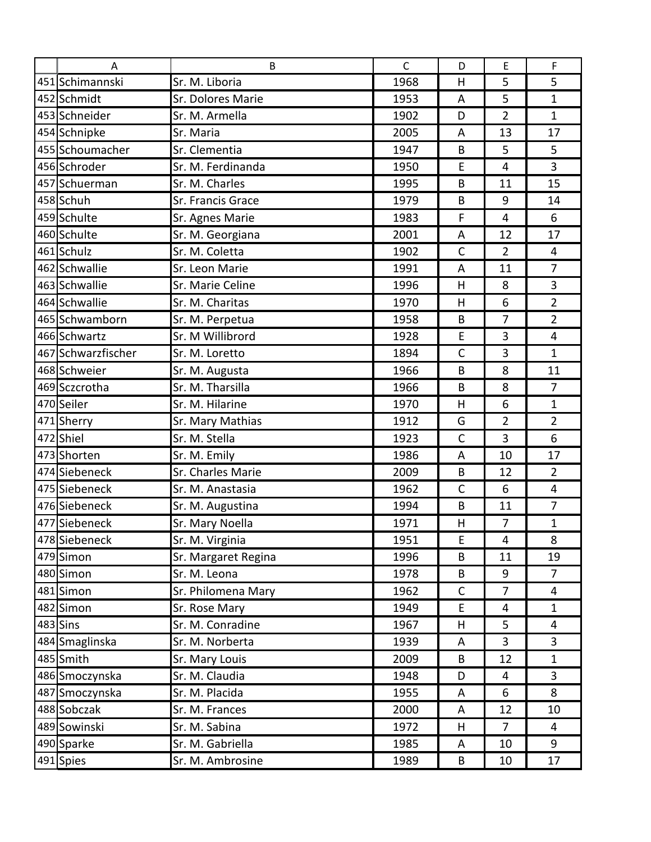| A                  | B                   | $\mathsf{C}$ | D            | E              | F              |  |
|--------------------|---------------------|--------------|--------------|----------------|----------------|--|
| 451 Schimannski    | Sr. M. Liboria      | 1968         | H            | 5              | 5              |  |
| 452 Schmidt        | Sr. Dolores Marie   | 1953         | A            | 5              | $\mathbf{1}$   |  |
| 453 Schneider      | Sr. M. Armella      | 1902         | D            | $\overline{2}$ | $\mathbf{1}$   |  |
| 454 Schnipke       | Sr. Maria           | 2005         | A            | 13             | 17             |  |
| 455 Schoumacher    | Sr. Clementia       | 1947         | B            | 5              | 5              |  |
| 456 Schroder       | Sr. M. Ferdinanda   | 1950         | E            | $\overline{4}$ | $\overline{3}$ |  |
| 457 Schuerman      | Sr. M. Charles      | 1995         | B            | 11             | 15             |  |
| 458 Schuh          | Sr. Francis Grace   | 1979         | B            | 9              | 14             |  |
| 459 Schulte        | Sr. Agnes Marie     | 1983         | F            | $\overline{4}$ | 6              |  |
| 460 Schulte        | Sr. M. Georgiana    | 2001         | A            | 12             | 17             |  |
| 461 Schulz         | Sr. M. Coletta      | 1902         | $\mathsf{C}$ | $\overline{2}$ | 4              |  |
| 462 Schwallie      | Sr. Leon Marie      | 1991         | A            | 11             | $\overline{7}$ |  |
| 463 Schwallie      | Sr. Marie Celine    | 1996         | H            | 8              | 3              |  |
| 464 Schwallie      | Sr. M. Charitas     | 1970         | H            | 6              | $\overline{2}$ |  |
| 465 Schwamborn     | Sr. M. Perpetua     | 1958         | B            | 7              | $\overline{2}$ |  |
| 466 Schwartz       | Sr. M Willibrord    | 1928         | E            | 3              | $\overline{4}$ |  |
| 467 Schwarzfischer | Sr. M. Loretto      | 1894         | $\mathsf{C}$ | 3              | $\mathbf{1}$   |  |
| 468 Schweier       | Sr. M. Augusta      | 1966         | B            | 8              | 11             |  |
| 469 Sczcrotha      | Sr. M. Tharsilla    | 1966         | B            | 8              | $\overline{7}$ |  |
| 470 Seiler         | Sr. M. Hilarine     | 1970         | H            | 6              | 1              |  |
| 471 Sherry         | Sr. Mary Mathias    | 1912         | G            | $\overline{2}$ | $\overline{2}$ |  |
| 472 Shiel          | Sr. M. Stella       | 1923         | $\mathsf{C}$ | 3              | 6              |  |
| 473 Shorten        | Sr. M. Emily        | 1986         | A            | 10             | 17             |  |
| 474 Siebeneck      | Sr. Charles Marie   | 2009         | B            | 12             | $\overline{2}$ |  |
| 475 Siebeneck      | Sr. M. Anastasia    | 1962         | $\mathsf C$  | 6              | $\overline{4}$ |  |
| 476 Siebeneck      | Sr. M. Augustina    | 1994         | B            | 11             | $\overline{7}$ |  |
| 477 Siebeneck      | Sr. Mary Noella     | 1971         | H            | 7              | $\overline{1}$ |  |
| 478 Siebeneck      | Sr. M. Virginia     | 1951         | E            | $\overline{4}$ | 8              |  |
| 479 Simon          | Sr. Margaret Regina | 1996         | B            | 11             | 19             |  |
| 480 Simon          | Sr. M. Leona        | 1978         | B            | 9              | $\overline{7}$ |  |
| 481 Simon          | Sr. Philomena Mary  | 1962         | $\mathsf{C}$ | 7              | 4              |  |
| 482 Simon          | Sr. Rose Mary       | 1949         | E            | $\overline{4}$ | $\mathbf{1}$   |  |
| 483 Sins           | Sr. M. Conradine    | 1967         | H            | 5              | 4              |  |
| 484 Smaglinska     | Sr. M. Norberta     | 1939         | A            | 3              | 3              |  |
| 485 Smith          | Sr. Mary Louis      | 2009         | B            | 12             | $\mathbf{1}$   |  |
| 486 Smoczynska     | Sr. M. Claudia      | 1948         | D            | 4              | 3              |  |
| 487 Smoczynska     | Sr. M. Placida      | 1955         | A            | 6              | 8              |  |
| 488 Sobczak        | Sr. M. Frances      | 2000         | A            | 12             | 10             |  |
| 489 Sowinski       | Sr. M. Sabina       | 1972         | H            | 7              | 4              |  |
| 490 Sparke         | Sr. M. Gabriella    | 1985         | A            | 10             | 9              |  |
| 491 Spies          | Sr. M. Ambrosine    | 1989         | B            | 10             | 17             |  |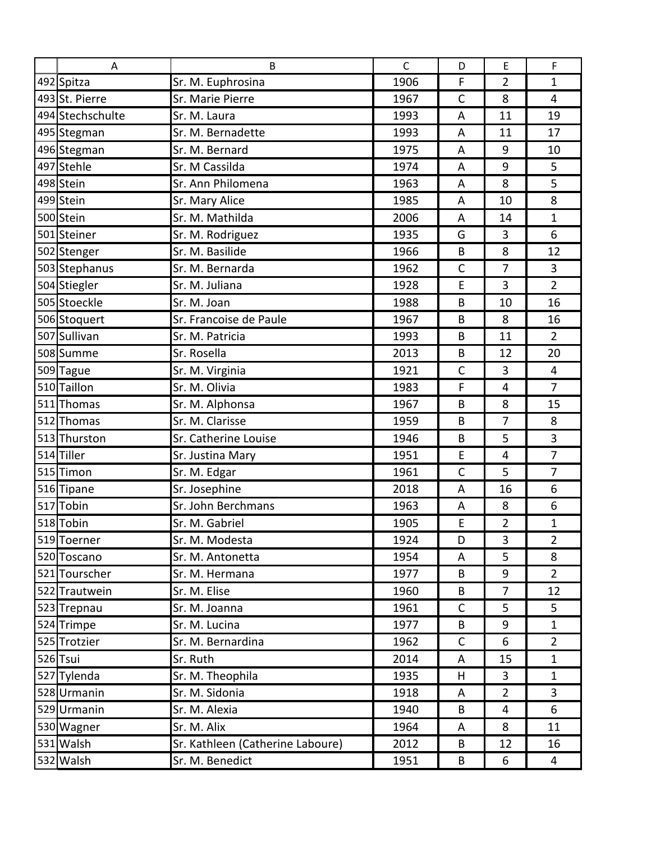| A                | B                                | $\mathsf{C}$ | D            | $\mathsf E$    | $\mathsf F$    |
|------------------|----------------------------------|--------------|--------------|----------------|----------------|
| 492 Spitza       | Sr. M. Euphrosina                | 1906         | F            | $\overline{2}$ | 1              |
| 493 St. Pierre   | Sr. Marie Pierre                 | 1967         | $\mathsf{C}$ | 8              | $\overline{4}$ |
| 494 Stechschulte | Sr. M. Laura                     | 1993         | A            | 11             | 19             |
| 495 Stegman      | Sr. M. Bernadette                | 1993         | A            | 11             | 17             |
| 496 Stegman      | Sr. M. Bernard                   | 1975         | A            | 9              | 10             |
| 497 Stehle       | Sr. M Cassilda                   | 1974         | A            | 9              | 5              |
| 498 Stein        | Sr. Ann Philomena                | 1963         | A            | 8              | 5              |
| 499 Stein        | Sr. Mary Alice                   | 1985         | A            | 10             | 8              |
| 500 Stein        | Sr. M. Mathilda                  | 2006         | A            | 14             | $\mathbf{1}$   |
| 501 Steiner      | Sr. M. Rodriguez                 | 1935         | G            | 3              | 6              |
| 502 Stenger      | Sr. M. Basilide                  | 1966         | B            | 8              | 12             |
| 503 Stephanus    | Sr. M. Bernarda                  | 1962         | $\mathsf C$  | 7              | 3              |
| 504 Stiegler     | Sr. M. Juliana                   | 1928         | E            | 3              | $\overline{2}$ |
| 505 Stoeckle     | Sr. M. Joan                      | 1988         | B            | 10             | 16             |
| 506 Stoquert     | Sr. Francoise de Paule           | 1967         | B            | 8              | 16             |
| 507 Sullivan     | Sr. M. Patricia                  | 1993         | B            | 11             | $\overline{2}$ |
| 508 Summe        | Sr. Rosella                      | 2013         | B            | 12             | 20             |
| 509 Tague        | Sr. M. Virginia                  | 1921         | $\mathsf C$  | 3              | 4              |
| 510 Taillon      | Sr. M. Olivia                    | 1983         | F            | 4              | $\overline{7}$ |
| 511 Thomas       | Sr. M. Alphonsa                  | 1967         | B            | 8              | 15             |
| 512 Thomas       | Sr. M. Clarisse                  | 1959         | B            | 7              | 8              |
| 513 Thurston     | Sr. Catherine Louise             | 1946         | B            | 5              | 3              |
| 514 Tiller       | Sr. Justina Mary                 | 1951         | E            | 4              | $\overline{7}$ |
| 515 Timon        | Sr. M. Edgar                     | 1961         | $\mathsf C$  | 5              | $\overline{7}$ |
| 516 Tipane       | Sr. Josephine                    | 2018         | A            | 16             | 6              |
| 517 Tobin        | Sr. John Berchmans               | 1963         | A            | 8              | 6              |
| 518 Tobin        | Sr. M. Gabriel                   | 1905         | E            | $\overline{2}$ | $\mathbf{1}$   |
| 519 Toerner      | Sr. M. Modesta                   | 1924         | D            | 3              | $\overline{2}$ |
| 520 Toscano      | Sr. M. Antonetta                 | 1954         | A            | 5              | 8              |
| 521 Tourscher    | Sr. M. Hermana                   | 1977         | B            | 9              | $\overline{2}$ |
| 522 Trautwein    | Sr. M. Elise                     | 1960         | B            | 7              | 12             |
| 523 Trepnau      | Sr. M. Joanna                    | 1961         | C            | 5              | 5              |
| 524 Trimpe       | Sr. M. Lucina                    | 1977         | B            | 9              | $\mathbf{1}$   |
| 525 Trotzier     | Sr. M. Bernardina                | 1962         | $\mathsf{C}$ | 6              | $\overline{2}$ |
| 526 Tsui         | Sr. Ruth                         | 2014         | A            | 15             | $\mathbf{1}$   |
| 527 Tylenda      | Sr. M. Theophila                 | 1935         | н            | 3              | $\mathbf{1}$   |
| 528 Urmanin      | Sr. M. Sidonia                   | 1918         | A            | $\overline{2}$ | 3              |
| 529 Urmanin      | Sr. M. Alexia                    | 1940         | B            | 4              | 6              |
| 530 Wagner       | Sr. M. Alix                      | 1964         | A            | 8              | 11             |
| 531 Walsh        | Sr. Kathleen (Catherine Laboure) | 2012         | B            | 12             | 16             |
| 532 Walsh        | Sr. M. Benedict                  | 1951         | B            | 6              | 4              |